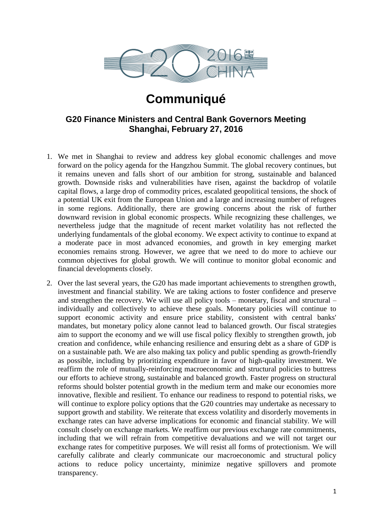

# **Communiqué**

## **G20 Finance Ministers and Central Bank Governors Meeting Shanghai, February 27, 2016**

- 1. We met in Shanghai to review and address key global economic challenges and move forward on the policy agenda for the Hangzhou Summit. The global recovery continues, but it remains uneven and falls short of our ambition for strong, sustainable and balanced growth. Downside risks and vulnerabilities have risen, against the backdrop of volatile capital flows, a large drop of commodity prices, escalated geopolitical tensions, the shock of a potential UK exit from the European Union and a large and increasing number of refugees in some regions. Additionally, there are growing concerns about the risk of further downward revision in global economic prospects. While recognizing these challenges, we nevertheless judge that the magnitude of recent market volatility has not reflected the underlying fundamentals of the global economy. We expect activity to continue to expand at a moderate pace in most advanced economies, and growth in key emerging market economies remains strong. However, we agree that we need to do more to achieve our common objectives for global growth. We will continue to monitor global economic and financial developments closely.
- 2. Over the last several years, the G20 has made important achievements to strengthen growth, investment and financial stability. We are taking actions to foster confidence and preserve and strengthen the recovery. We will use all policy tools – monetary, fiscal and structural – individually and collectively to achieve these goals. Monetary policies will continue to support economic activity and ensure price stability, consistent with central banks' mandates, but monetary policy alone cannot lead to balanced growth. Our fiscal strategies aim to support the economy and we will use fiscal policy flexibly to strengthen growth, job creation and confidence, while enhancing resilience and ensuring debt as a share of GDP is on a sustainable path. We are also making tax policy and public spending as growth-friendly as possible, including by prioritizing expenditure in favor of high-quality investment. We reaffirm the role of mutually-reinforcing macroeconomic and structural policies to buttress our efforts to achieve strong, sustainable and balanced growth. Faster progress on structural reforms should bolster potential growth in the medium term and make our economies more innovative, flexible and resilient. To enhance our readiness to respond to potential risks, we will continue to explore policy options that the G20 countries may undertake as necessary to support growth and stability. We reiterate that excess volatility and disorderly movements in exchange rates can have adverse implications for economic and financial stability. We will consult closely on exchange markets. We reaffirm our previous exchange rate commitments, including that we will refrain from competitive devaluations and we will not target our exchange rates for competitive purposes. We will resist all forms of protectionism. We will carefully calibrate and clearly communicate our macroeconomic and structural policy actions to reduce policy uncertainty, minimize negative spillovers and promote transparency.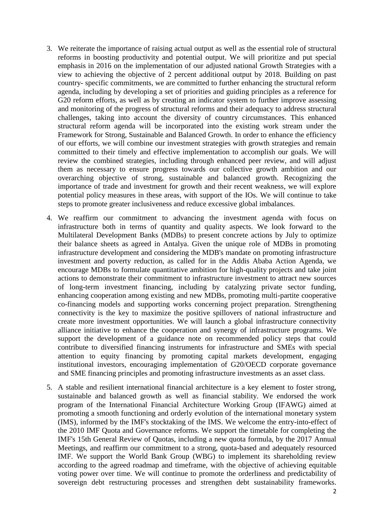- 3. We reiterate the importance of raising actual output as well as the essential role of structural reforms in boosting productivity and potential output. We will prioritize and put special emphasis in 2016 on the implementation of our adjusted national Growth Strategies with a view to achieving the objective of 2 percent additional output by 2018. Building on past country- specific commitments, we are committed to further enhancing the structural reform agenda, including by developing a set of priorities and guiding principles as a reference for G20 reform efforts, as well as by creating an indicator system to further improve assessing and monitoring of the progress of structural reforms and their adequacy to address structural challenges, taking into account the diversity of country circumstances. This enhanced structural reform agenda will be incorporated into the existing work stream under the Framework for Strong, Sustainable and Balanced Growth. In order to enhance the efficiency of our efforts, we will combine our investment strategies with growth strategies and remain committed to their timely and effective implementation to accomplish our goals. We will review the combined strategies, including through enhanced peer review, and will adjust them as necessary to ensure progress towards our collective growth ambition and our overarching objective of strong, sustainable and balanced growth. Recognizing the importance of trade and investment for growth and their recent weakness, we will explore potential policy measures in these areas, with support of the IOs. We will continue to take steps to promote greater inclusiveness and reduce excessive global imbalances.
- 4. We reaffirm our commitment to advancing the investment agenda with focus on infrastructure both in terms of quantity and quality aspects. We look forward to the Multilateral Development Banks (MDBs) to present concrete actions by July to optimize their balance sheets as agreed in Antalya. Given the unique role of MDBs in promoting infrastructure development and considering the MDB's mandate on promoting infrastructure investment and poverty reduction, as called for in the Addis Ababa Action Agenda, we encourage MDBs to formulate quantitative ambition for high-quality projects and take joint actions to demonstrate their commitment to infrastructure investment to attract new sources of long-term investment financing, including by catalyzing private sector funding, enhancing cooperation among existing and new MDBs, promoting multi-partite cooperative co-financing models and supporting works concerning project preparation. Strengthening connectivity is the key to maximize the positive spillovers of national infrastructure and create more investment opportunities. We will launch a global infrastructure connectivity alliance initiative to enhance the cooperation and synergy of infrastructure programs. We support the development of a guidance note on recommended policy steps that could contribute to diversified financing instruments for infrastructure and SMEs with special attention to equity financing by promoting capital markets development, engaging institutional investors, encouraging implementation of G20/OECD corporate governance and SME financing principles and promoting infrastructure investments as an asset class.
- 5. A stable and resilient international financial architecture is a key element to foster strong, sustainable and balanced growth as well as financial stability. We endorsed the work program of the International Financial Architecture Working Group (IFAWG) aimed at promoting a smooth functioning and orderly evolution of the international monetary system (IMS), informed by the IMF's stocktaking of the IMS. We welcome the entry-into-effect of the 2010 IMF Quota and Governance reforms. We support the timetable for completing the IMF's 15th General Review of Quotas, including a new quota formula, by the 2017 Annual Meetings, and reaffirm our commitment to a strong, quota-based and adequately resourced IMF. We support the World Bank Group (WBG) to implement its shareholding review according to the agreed roadmap and timeframe, with the objective of achieving equitable voting power over time. We will continue to promote the orderliness and predictability of sovereign debt restructuring processes and strengthen debt sustainability frameworks.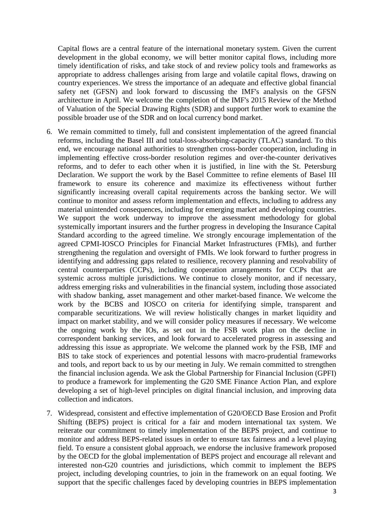Capital flows are a central feature of the international monetary system. Given the current development in the global economy, we will better monitor capital flows, including more timely identification of risks, and take stock of and review policy tools and frameworks as appropriate to address challenges arising from large and volatile capital flows, drawing on country experiences. We stress the importance of an adequate and effective global financial safety net (GFSN) and look forward to discussing the IMF's analysis on the GFSN architecture in April. We welcome the completion of the IMF's 2015 Review of the Method of Valuation of the Special Drawing Rights (SDR) and support further work to examine the possible broader use of the SDR and on local currency bond market.

- 6. We remain committed to timely, full and consistent implementation of the agreed financial reforms, including the Basel III and total-loss-absorbing-capacity (TLAC) standard. To this end, we encourage national authorities to strengthen cross-border cooperation, including in implementing effective cross-border resolution regimes and over-the-counter derivatives reforms, and to defer to each other when it is justified, in line with the St. Petersburg Declaration. We support the work by the Basel Committee to refine elements of Basel III framework to ensure its coherence and maximize its effectiveness without further significantly increasing overall capital requirements across the banking sector. We will continue to monitor and assess reform implementation and effects, including to address any material unintended consequences, including for emerging market and developing countries. We support the work underway to improve the assessment methodology for global systemically important insurers and the further progress in developing the Insurance Capital Standard according to the agreed timeline. We strongly encourage implementation of the agreed CPMI-IOSCO Principles for Financial Market Infrastructures (FMIs), and further strengthening the regulation and oversight of FMIs. We look forward to further progress in identifying and addressing gaps related to resilience, recovery planning and resolvability of central counterparties (CCPs), including cooperation arrangements for CCPs that are systemic across multiple jurisdictions. We continue to closely monitor, and if necessary, address emerging risks and vulnerabilities in the financial system, including those associated with shadow banking, asset management and other market-based finance. We welcome the work by the BCBS and IOSCO on criteria for identifying simple, transparent and comparable securitizations. We will review holistically changes in market liquidity and impact on market stability, and we will consider policy measures if necessary. We welcome the ongoing work by the IOs, as set out in the FSB work plan on the decline in correspondent banking services, and look forward to accelerated progress in assessing and addressing this issue as appropriate. We welcome the planned work by the FSB, IMF and BIS to take stock of experiences and potential lessons with macro-prudential frameworks and tools, and report back to us by our meeting in July. We remain committed to strengthen the financial inclusion agenda. We ask the Global Partnership for Financial Inclusion (GPFI) to produce a framework for implementing the G20 SME Finance Action Plan, and explore developing a set of high-level principles on digital financial inclusion, and improving data collection and indicators.
- 7. Widespread, consistent and effective implementation of G20/OECD Base Erosion and Profit Shifting (BEPS) project is critical for a fair and modern international tax system. We reiterate our commitment to timely implementation of the BEPS project, and continue to monitor and address BEPS-related issues in order to ensure tax fairness and a level playing field. To ensure a consistent global approach, we endorse the inclusive framework proposed by the OECD for the global implementation of BEPS project and encourage all relevant and interested non-G20 countries and jurisdictions, which commit to implement the BEPS project, including developing countries, to join in the framework on an equal footing. We support that the specific challenges faced by developing countries in BEPS implementation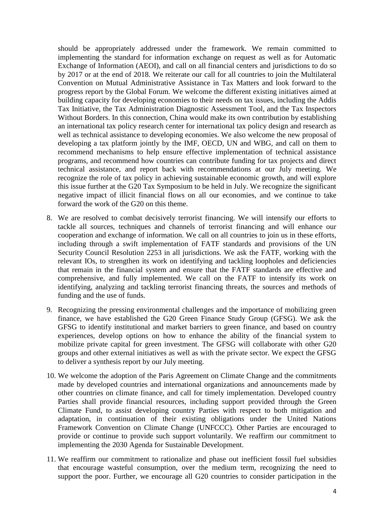should be appropriately addressed under the framework. We remain committed to implementing the standard for information exchange on request as well as for Automatic Exchange of Information (AEOI), and call on all financial centers and jurisdictions to do so by 2017 or at the end of 2018. We reiterate our call for all countries to join the Multilateral Convention on Mutual Administrative Assistance in Tax Matters and look forward to the progress report by the Global Forum. We welcome the different existing initiatives aimed at building capacity for developing economies to their needs on tax issues, including the Addis Tax Initiative, the Tax Administration Diagnostic Assessment Tool, and the Tax Inspectors Without Borders. In this connection, China would make its own contribution by establishing an international tax policy research center for international tax policy design and research as well as technical assistance to developing economies. We also welcome the new proposal of developing a tax platform jointly by the IMF, OECD, UN and WBG, and call on them to recommend mechanisms to help ensure effective implementation of technical assistance programs, and recommend how countries can contribute funding for tax projects and direct technical assistance, and report back with recommendations at our July meeting. We recognize the role of tax policy in achieving sustainable economic growth, and will explore this issue further at the G20 Tax Symposium to be held in July. We recognize the significant negative impact of illicit financial flows on all our economies, and we continue to take forward the work of the G20 on this theme.

- 8. We are resolved to combat decisively terrorist financing. We will intensify our efforts to tackle all sources, techniques and channels of terrorist financing and will enhance our cooperation and exchange of information. We call on all countries to join us in these efforts, including through a swift implementation of FATF standards and provisions of the UN Security Council Resolution 2253 in all jurisdictions. We ask the FATF, working with the relevant IOs, to strengthen its work on identifying and tackling loopholes and deficiencies that remain in the financial system and ensure that the FATF standards are effective and comprehensive, and fully implemented. We call on the FATF to intensify its work on identifying, analyzing and tackling terrorist financing threats, the sources and methods of funding and the use of funds.
- 9. Recognizing the pressing environmental challenges and the importance of mobilizing green finance, we have established the G20 Green Finance Study Group (GFSG). We ask the GFSG to identify institutional and market barriers to green finance, and based on country experiences, develop options on how to enhance the ability of the financial system to mobilize private capital for green investment. The GFSG will collaborate with other G20 groups and other external initiatives as well as with the private sector. We expect the GFSG to deliver a synthesis report by our July meeting.
- 10. We welcome the adoption of the Paris Agreement on Climate Change and the commitments made by developed countries and international organizations and announcements made by other countries on climate finance, and call for timely implementation. Developed country Parties shall provide financial resources, including support provided through the Green Climate Fund, to assist developing country Parties with respect to both mitigation and adaptation, in continuation of their existing obligations under the United Nations Framework Convention on Climate Change (UNFCCC). Other Parties are encouraged to provide or continue to provide such support voluntarily. We reaffirm our commitment to implementing the 2030 Agenda for Sustainable Development.
- 11. We reaffirm our commitment to rationalize and phase out inefficient fossil fuel subsidies that encourage wasteful consumption, over the medium term, recognizing the need to support the poor. Further, we encourage all G20 countries to consider participation in the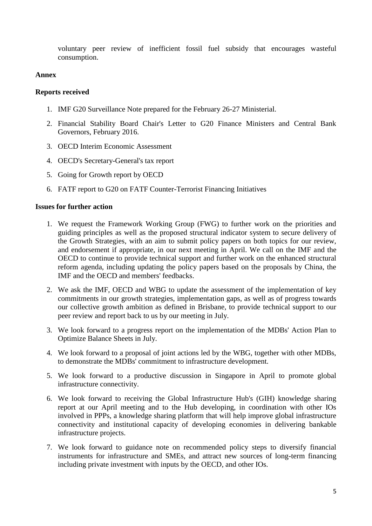voluntary peer review of inefficient fossil fuel subsidy that encourages wasteful consumption.

### **Annex**

#### **Reports received**

- 1. IMF G20 Surveillance Note prepared for the February 26-27 Ministerial.
- 2. Financial Stability Board Chair's Letter to G20 Finance Ministers and Central Bank Governors, February 2016.
- 3. OECD Interim Economic Assessment
- 4. OECD's Secretary-General's tax report
- 5. Going for Growth report by OECD
- 6. FATF report to G20 on FATF Counter-Terrorist Financing Initiatives

### **Issues for further action**

- 1. We request the Framework Working Group (FWG) to further work on the priorities and guiding principles as well as the proposed structural indicator system to secure delivery of the Growth Strategies, with an aim to submit policy papers on both topics for our review, and endorsement if appropriate, in our next meeting in April. We call on the IMF and the OECD to continue to provide technical support and further work on the enhanced structural reform agenda, including updating the policy papers based on the proposals by China, the IMF and the OECD and members' feedbacks.
- 2. We ask the IMF, OECD and WBG to update the assessment of the implementation of key commitments in our growth strategies, implementation gaps, as well as of progress towards our collective growth ambition as defined in Brisbane, to provide technical support to our peer review and report back to us by our meeting in July.
- 3. We look forward to a progress report on the implementation of the MDBs' Action Plan to Optimize Balance Sheets in July.
- 4. We look forward to a proposal of joint actions led by the WBG, together with other MDBs, to demonstrate the MDBs' commitment to infrastructure development.
- 5. We look forward to a productive discussion in Singapore in April to promote global infrastructure connectivity.
- 6. We look forward to receiving the Global Infrastructure Hub's (GIH) knowledge sharing report at our April meeting and to the Hub developing, in coordination with other IOs involved in PPPs, a knowledge sharing platform that will help improve global infrastructure connectivity and institutional capacity of developing economies in delivering bankable infrastructure projects.
- 7. We look forward to guidance note on recommended policy steps to diversify financial instruments for infrastructure and SMEs, and attract new sources of long-term financing including private investment with inputs by the OECD, and other IOs.